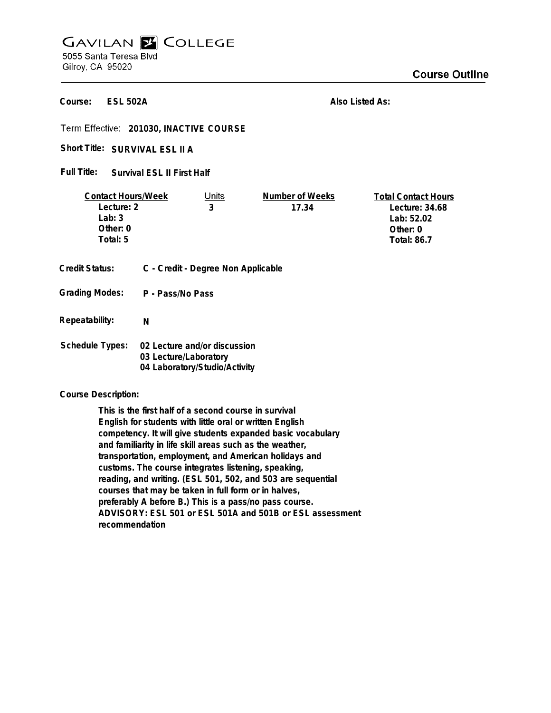## **GAVILAN E COLLEGE** 5055 Santa Teresa Blvd

Gilroy, CA 95020

**ESL 502A Course:**

**Also Listed As:**

**201030, INACTIVE COURSE**

Short Title: SURVIVAL ESL II A

**Survival ESL II First Half Full Title:**

| <b>Contact Hours/Week</b> |                                    | Units                         | Number of Weeks | <b>Total Contact Hours</b> |
|---------------------------|------------------------------------|-------------------------------|-----------------|----------------------------|
| Lecture: 2                |                                    | 3                             | 17.34           | Lecture: $34.68$           |
| Lab: $3$                  |                                    |                               |                 | Lab: 52.02                 |
| Other: 0                  |                                    |                               |                 | Other: 0                   |
| Total: 5                  |                                    |                               |                 | <b>Total: 86.7</b>         |
|                           |                                    |                               |                 |                            |
| <b>Credit Status:</b>     | C - Credit - Degree Non Applicable |                               |                 |                            |
|                           |                                    |                               |                 |                            |
| <b>Grading Modes:</b>     | P - Pass/No Pass                   |                               |                 |                            |
|                           |                                    |                               |                 |                            |
| Repeatability:            | N                                  |                               |                 |                            |
|                           |                                    |                               |                 |                            |
| <b>Schedule Types:</b>    |                                    | 02 Lecture and/or discussion  |                 |                            |
|                           | 03 Lecture/Laboratory              |                               |                 |                            |
|                           |                                    | 04 Laboratory/Studio/Activity |                 |                            |
|                           |                                    |                               |                 |                            |

**Course Description:**

**This is the first half of a second course in survival English for students with little oral or written English competency. It will give students expanded basic vocabulary and familiarity in life skill areas such as the weather, transportation, employment, and American holidays and customs. The course integrates listening, speaking, reading, and writing. (ESL 501, 502, and 503 are sequential courses that may be taken in full form or in halves, preferably A before B.) This is a pass/no pass course. ADVISORY: ESL 501 or ESL 501A and 501B or ESL assessment recommendation**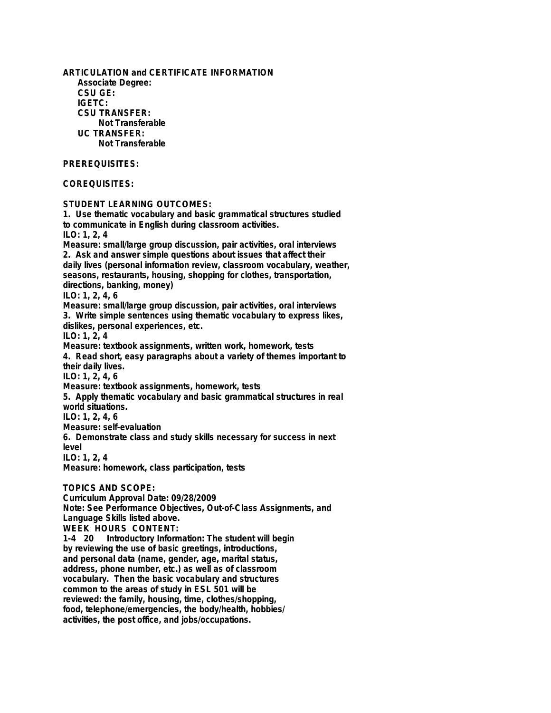**ARTICULATION and CERTIFICATE INFORMATION Associate Degree: CSU GE: IGETC: CSU TRANSFER: Not Transferable UC TRANSFER: Not Transferable PREREQUISITES: COREQUISITES: STUDENT LEARNING OUTCOMES: 1. Use thematic vocabulary and basic grammatical structures studied to communicate in English during classroom activities. ILO: 1, 2, 4 Measure: small/large group discussion, pair activities, oral interviews 2. Ask and answer simple questions about issues that affect their daily lives (personal information review, classroom vocabulary, weather, seasons, restaurants, housing, shopping for clothes, transportation, directions, banking, money) ILO: 1, 2, 4, 6 Measure: small/large group discussion, pair activities, oral interviews 3. Write simple sentences using thematic vocabulary to express likes, dislikes, personal experiences, etc. ILO: 1, 2, 4 Measure: textbook assignments, written work, homework, tests 4. Read short, easy paragraphs about a variety of themes important to their daily lives. ILO: 1, 2, 4, 6 Measure: textbook assignments, homework, tests 5. Apply thematic vocabulary and basic grammatical structures in real world situations. ILO: 1, 2, 4, 6 Measure: self-evaluation 6. Demonstrate class and study skills necessary for success in next level ILO: 1, 2, 4 Measure: homework, class participation, tests TOPICS AND SCOPE: Curriculum Approval Date: 09/28/2009 Note: See Performance Objectives, Out-of-Class Assignments, and Language Skills listed above. WEEK HOURS CONTENT: 1-4 20 Introductory Information: The student will begin by reviewing the use of basic greetings, introductions, and personal data (name, gender, age, marital status, address, phone number, etc.) as well as of classroom vocabulary. Then the basic vocabulary and structures common to the areas of study in ESL 501 will be reviewed: the family, housing, time, clothes/shopping, food, telephone/emergencies, the body/health, hobbies/ activities, the post office, and jobs/occupations.**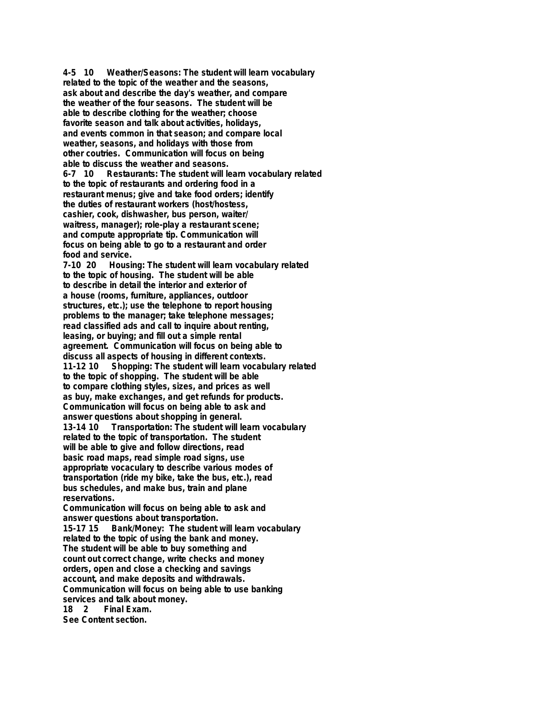**4-5 10 Weather/Seasons: The student will learn vocabulary related to the topic of the weather and the seasons, ask about and describe the day's weather, and compare the weather of the four seasons. The student will be able to describe clothing for the weather; choose favorite season and talk about activities, holidays, and events common in that season; and compare local weather, seasons, and holidays with those from other coutries. Communication will focus on being able to discuss the weather and seasons. 6-7 10 Restaurants: The student will learn vocabulary related to the topic of restaurants and ordering food in a restaurant menus; give and take food orders; identify the duties of restaurant workers (host/hostess, cashier, cook, dishwasher, bus person, waiter/ waitress, manager); role-play a restaurant scene; and compute appropriate tip. Communication will focus on being able to go to a restaurant and order food and service. 7-10 20 Housing: The student will learn vocabulary related to the topic of housing. The student will be able to describe in detail the interior and exterior of a house (rooms, furniture, appliances, outdoor structures, etc.); use the telephone to report housing problems to the manager; take telephone messages; read classified ads and call to inquire about renting, leasing, or buying; and fill out a simple rental agreement. Communication will focus on being able to discuss all aspects of housing in different contexts. 11-12 Shopping: The student will learn vocabulary related to the topic of shopping. The student will be able to compare clothing styles, sizes, and prices as well as buy, make exchanges, and get refunds for products. Communication will focus on being able to ask and answer questions about shopping in general. 13-14 10 Transportation: The student will learn vocabulary related to the topic of transportation. The student will be able to give and follow directions, read basic road maps, read simple road signs, use appropriate vocaculary to describe various modes of transportation (ride my bike, take the bus, etc.), read bus schedules, and make bus, train and plane reservations. Communication will focus on being able to ask and answer questions about transportation. 15-17 15 Bank/Money: The student will learn vocabulary related to the topic of using the bank and money. The student will be able to buy something and count out correct change, write checks and money orders, open and close a checking and savings account, and make deposits and withdrawals. Communication will focus on being able to use banking**

**services and talk about money.**

**Final Exam.** 

**See Content section.**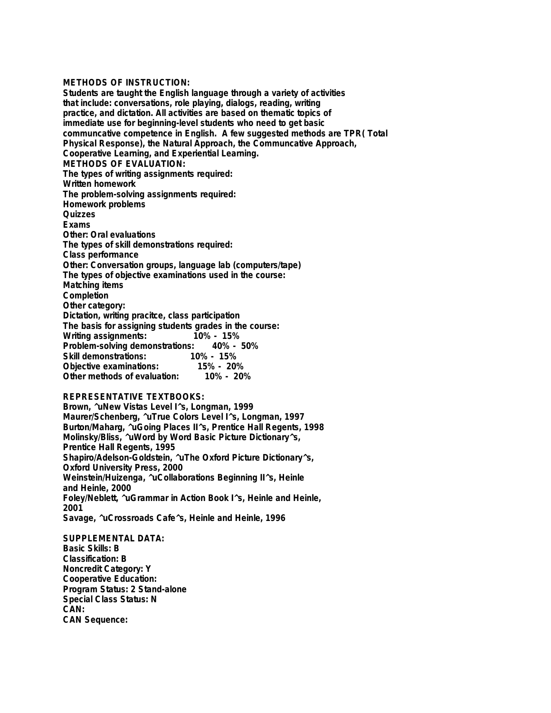## **METHODS OF INSTRUCTION:**

**Students are taught the English language through a variety of activities that include: conversations, role playing, dialogs, reading, writing practice, and dictation. All activities are based on thematic topics of immediate use for beginning-level students who need to get basic communcative competence in English. A few suggested methods are TPR( Total Physical Response), the Natural Approach, the Communcative Approach, Cooperative Learning, and Experiential Learning. METHODS OF EVALUATION: The types of writing assignments required: Written homework The problem-solving assignments required: Homework problems Quizzes Exams Other: Oral evaluations The types of skill demonstrations required: Class performance Other: Conversation groups, language lab (computers/tape) The types of objective examinations used in the course: Matching items Completion Other category: Dictation, writing pracitce, class participation The basis for assigning students grades in the course: Writing assignments: Problem-solving demonstrations: 40% - 50% Skill demonstrations: 10% - 15% Objective examinations: 15% - 20% Other methods of evaluation: 10% - 20%**

## **REPRESENTATIVE TEXTBOOKS:**

**Brown, ^uNew Vistas Level I^s, Longman, 1999 Maurer/Schenberg, ^uTrue Colors Level I^s, Longman, 1997 Burton/Maharg, ^uGoing Places II^s, Prentice Hall Regents, 1998 Molinsky/Bliss, ^uWord by Word Basic Picture Dictionary^s, Prentice Hall Regents, 1995 Shapiro/Adelson-Goldstein, ^uThe Oxford Picture Dictionary^s, Oxford University Press, 2000 Weinstein/Huizenga, ^uCollaborations Beginning II^s, Heinle and Heinle, 2000 Foley/Neblett, ^uGrammar in Action Book I^s, Heinle and Heinle, 2001 Savage, ^uCrossroads Cafe^s, Heinle and Heinle, 1996**

**SUPPLEMENTAL DATA: Basic Skills: B Classification: B Noncredit Category: Y Cooperative Education: Program Status: 2 Stand-alone Special Class Status: N CAN: CAN Sequence:**